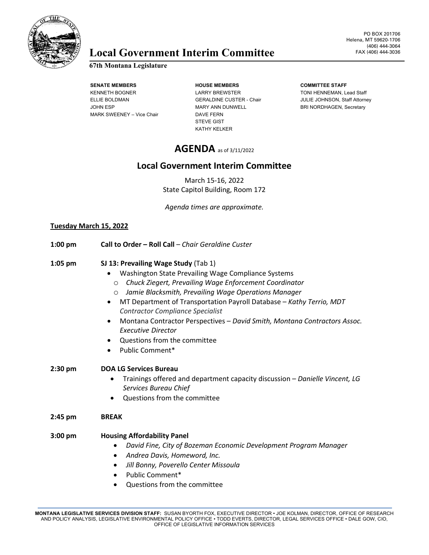

# Local Government Interim Committee FAX (406) 444-3036

### **67th Montana Legislature**

**SENATE MEMBERS HOUSE MEMBERS COMMITTEE STAFF** MARK SWEENEY – Vice Chair DAVE FERN

KENNETH BOGNER LARRY BREWSTER TONI HENNEMAN, Lead Staff JOHN ESP **MARY ANN DUNWELL** BRI NORDHAGEN, Secretary STEVE GIST KATHY KELKER

ELLIE BOLDMAN GERALDINE CUSTER - Chair JULIE JOHNSON, Staff Attorney

# **AGENDA** as of 3/11/2022

## **Local Government Interim Committee**

March 15-16, 2022 State Capitol Building, Room 172

*Agenda times are approximate.*

#### **Tuesday March 15, 2022**

**1:00 pm Call to Order – Roll Call** – *Chair Geraldine Custer*

#### **1:05 pm SJ 13: Prevailing Wage Study** (Tab 1)

- Washington State Prevailing Wage Compliance Systems
- o *Chuck Ziegert, Prevailing Wage Enforcement Coordinator*
- o *Jamie Blacksmith, Prevailing Wage Operations Manager*
- MT Department of Transportation Payroll Database *Kathy Terrio, MDT Contractor Compliance Specialist*
- Montana Contractor Perspectives *David Smith, Montana Contractors Assoc. Executive Director*
- Questions from the committee
- Public Comment\*

#### **2:30 pm DOA LG Services Bureau**

- Trainings offered and department capacity discussion *Danielle Vincent, LG Services Bureau Chief*
- Questions from the committee
- **2:45 pm BREAK**

#### **3:00 pm Housing Affordability Panel**

- *David Fine, City of Bozeman Economic Development Program Manager*
- *Andrea Davis, Homeword, Inc.*
- *Jill Bonny, Poverello Center Missoula*
- Public Comment\*
- Questions from the committee

**MONTANA LEGISLATIVE SERVICES DIVISION STAFF:** SUSAN BYORTH FOX, EXECUTIVE DIRECTOR • JOE KOLMAN, DIRECTOR, OFFICE OF RESEARCH AND POLICY ANALYSIS, LEGISLATIVE ENVIRONMENTAL POLICY OFFICE • TODD EVERTS, DIRECTOR, LEGAL SERVICES OFFICE • DALE GOW, CIO, OFFICE OF LEGISLATIVE INFORMATION SERVICES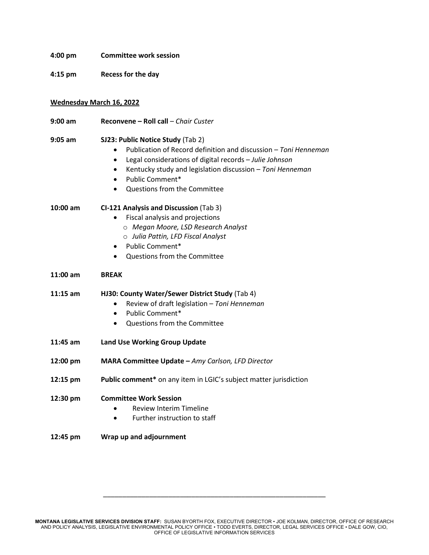| 4:00 pm | <b>Committee work session</b> |
|---------|-------------------------------|
|         |                               |

**4:15 pm Recess for the day**

#### **Wednesday March 16, 2022**

| 9:00 am  | Reconvene - Roll call - Chair Custer                                                                                                                                                                                                                                                                                   |  |
|----------|------------------------------------------------------------------------------------------------------------------------------------------------------------------------------------------------------------------------------------------------------------------------------------------------------------------------|--|
| 9:05 am  | SJ23: Public Notice Study (Tab 2)<br>Publication of Record definition and discussion - Toni Henneman<br>Legal considerations of digital records - Julie Johnson<br>$\bullet$<br>Kentucky study and legislation discussion - Toni Henneman<br>Public Comment*<br>$\bullet$<br>Questions from the Committee<br>$\bullet$ |  |
| 10:00 am | CI-121 Analysis and Discussion (Tab 3)<br>Fiscal analysis and projections<br>O Megan Moore, LSD Research Analyst<br>o Julia Pattin, LFD Fiscal Analyst<br>• Public Comment*<br>• Questions from the Committee                                                                                                          |  |
| 11:00 am | <b>BREAK</b>                                                                                                                                                                                                                                                                                                           |  |
| 11:15 am | HJ30: County Water/Sewer District Study (Tab 4)<br>Review of draft legislation - Toni Henneman<br>Public Comment*<br>$\bullet$<br>Questions from the Committee<br>$\bullet$                                                                                                                                            |  |
| 11:45 am | Land Use Working Group Update                                                                                                                                                                                                                                                                                          |  |
| 12:00 pm | MARA Committee Update - Amy Carlson, LFD Director                                                                                                                                                                                                                                                                      |  |
| 12:15 pm | Public comment* on any item in LGIC's subject matter jurisdiction                                                                                                                                                                                                                                                      |  |
| 12:30 pm | <b>Committee Work Session</b><br><b>Review Interim Timeline</b><br>Further instruction to staff                                                                                                                                                                                                                        |  |
| 12:45 pm | Wrap up and adjournment                                                                                                                                                                                                                                                                                                |  |

\_\_\_\_\_\_\_\_\_\_\_\_\_\_\_\_\_\_\_\_\_\_\_\_\_\_\_\_\_\_\_\_\_\_\_\_\_\_\_\_\_\_\_\_\_\_\_\_\_\_\_\_\_\_\_\_\_\_